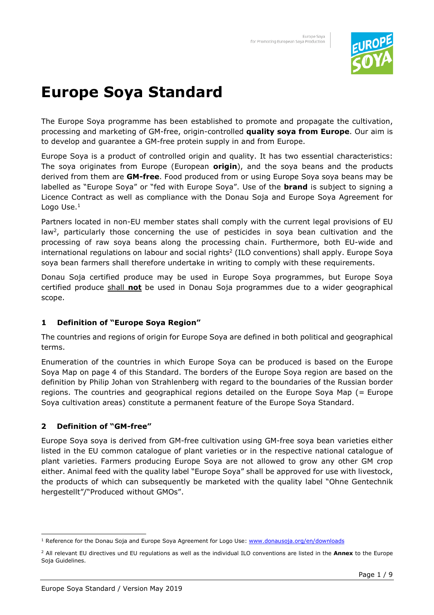

## **Europe Soya Standard**

The Europe Soya programme has been established to promote and propagate the cultivation, processing and marketing of GM-free, origin-controlled **quality soya from Europe**. Our aim is to develop and guarantee a GM-free protein supply in and from Europe.

Europe Soya is a product of controlled origin and quality. It has two essential characteristics: The soya originates from Europe (European **origin**), and the soya beans and the products derived from them are **GM-free**. Food produced from or using Europe Soya soya beans may be labelled as "Europe Soya" or "fed with Europe Soya". Use of the **brand** is subject to signing a Licence Contract as well as compliance with the Donau Soja and Europe Soya Agreement for Logo Use. $<sup>1</sup>$ </sup>

Partners located in non-EU member states shall comply with the current legal provisions of EU law<sup>2</sup>, particularly those concerning the use of pesticides in soya bean cultivation and the processing of raw soya beans along the processing chain. Furthermore, both EU-wide and international regulations on labour and social rights<sup>2</sup> (ILO conventions) shall apply. Europe Soya soya bean farmers shall therefore undertake in writing to comply with these requirements.

Donau Soja certified produce may be used in Europe Soya programmes, but Europe Soya certified produce shall **not** be used in Donau Soja programmes due to a wider geographical scope.

#### **1 Definition of "Europe Soya Region"**

The countries and regions of origin for Europe Soya are defined in both political and geographical terms.

Enumeration of the countries in which Europe Soya can be produced is based on the Europe Soya Map on page 4 of this Standard. The borders of the Europe Soya region are based on the definition by Philip Johan von Strahlenberg with regard to the boundaries of the Russian border regions. The countries and geographical regions detailed on the Europe Soya Map (= Europe Soya cultivation areas) constitute a permanent feature of the Europe Soya Standard.

#### **2 Definition of "GM-free"**

֦

Europe Soya soya is derived from GM-free cultivation using GM-free soya bean varieties either listed in the EU common catalogue of plant varieties or in the respective national catalogue of plant varieties. Farmers producing Europe Soya are not allowed to grow any other GM crop either. Animal feed with the quality label "Europe Soya" shall be approved for use with livestock, the products of which can subsequently be marketed with the quality label "Ohne Gentechnik hergestellt"/"Produced without GMOs".

<sup>&</sup>lt;sup>1</sup> Reference for the Donau Soja and Europe Soya Agreement for Logo Use: www.donausoja.org/en/downloads

<sup>2</sup> All relevant EU directives und EU regulations as well as the individual ILO conventions are listed in the **Annex** to the Europe Soja Guidelines.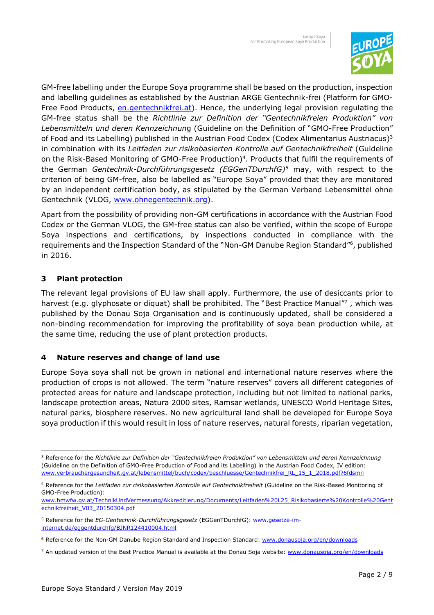

GM-free labelling under the Europe Soya programme shall be based on the production, inspection and labelling guidelines as established by the Austrian ARGE Gentechnik-frei (Platform for GMO-Free Food Products, en.gentechnikfrei.at). Hence, the underlying legal provision regulating the GM-free status shall be the *Richtlinie zur Definition der "Gentechnikfreien Produktion" von Lebensmitteln und deren Kennzeichnun*g (Guideline on the Definition of "GMO-Free Production" of Food and its Labelling) published in the Austrian Food Codex (Codex Alimentarius Austriacus) $3$ in combination with its *Leitfaden zur risikobasierten Kontrolle auf Gentechnikfreiheit* (Guideline on the Risk-Based Monitoring of GMO-Free Production) 4 . Products that fulfil the requirements of the German *Gentechnik-Durchführungsgesetz (EGGenTDurchfG)*<sup>5</sup> may, with respect to the criterion of being GM-free, also be labelled as "Europe Soya" provided that they are monitored by an independent certification body, as stipulated by the German Verband Lebensmittel ohne Gentechnik (VLOG, www.ohnegentechnik.org).

Apart from the possibility of providing non-GM certifications in accordance with the Austrian Food Codex or the German VLOG, the GM-free status can also be verified, within the scope of Europe Soya inspections and certifications, by inspections conducted in compliance with the requirements and the Inspection Standard of the "Non-GM Danube Region Standard"<sup>6</sup>, published in 2016.

#### **3 Plant protection**

֦

The relevant legal provisions of EU law shall apply. Furthermore, the use of desiccants prior to harvest (e.g. glyphosate or diquat) shall be prohibited. The "Best Practice Manual"7, which was published by the Donau Soja Organisation and is continuously updated, shall be considered a non-binding recommendation for improving the profitability of soya bean production while, at the same time, reducing the use of plant protection products.

#### **4 Nature reserves and change of land use**

Europe Soya soya shall not be grown in national and international nature reserves where the production of crops is not allowed. The term "nature reserves" covers all different categories of protected areas for nature and landscape protection, including but not limited to national parks, landscape protection areas, Natura 2000 sites, Ramsar wetlands, UNESCO World Heritage Sites, natural parks, biosphere reserves. No new agricultural land shall be developed for Europe Soya soya production if this would result in loss of nature reserves, natural forests, riparian vegetation,

<sup>3</sup> Reference for the *Richtlinie zur Definition der "Gentechnikfreien Produktion" von Lebensmitteln und deren Kennzeichnung* (Guideline on the Definition of GMO-Free Production of Food and its Labelling) in the Austrian Food Codex, IV edition: www.verbrauchergesundheit.gv.at/lebensmittel/buch/codex/beschluesse/Gentechnikfrei\_RL\_15\_1\_2018.pdf?6fdsmn

<sup>4</sup> Reference for the *Leitfaden zur risikobasierten Kontrolle auf Gentechnikfreiheit* (Guideline on the Risk-Based Monitoring of GMO-Free Production):

www.bmwfw.gv.at/TechnikUndVermessung/Akkreditierung/Documents/Leitfaden%20L25\_Risikobasierte%20Kontrolle%20Gent echnikfreiheit\_V03\_20150304.pdf

<sup>&</sup>lt;sup>5</sup> Reference for the *EG-Gentechnik-Durchführungsgesetz* (EGGenTDurchfG): www.g<u>esetze-im-</u> internet.de/eggentdurchfg/BJNR124410004.html

<sup>&</sup>lt;sup>6</sup> Reference for the Non-GM Danube Region Standard and Inspection Standard: www.donausoja.org/en/downloads

<sup>&</sup>lt;sup>7</sup> An updated version of the Best Practice Manual is available at the Donau Soja website: www.donausoja.org/en/downloads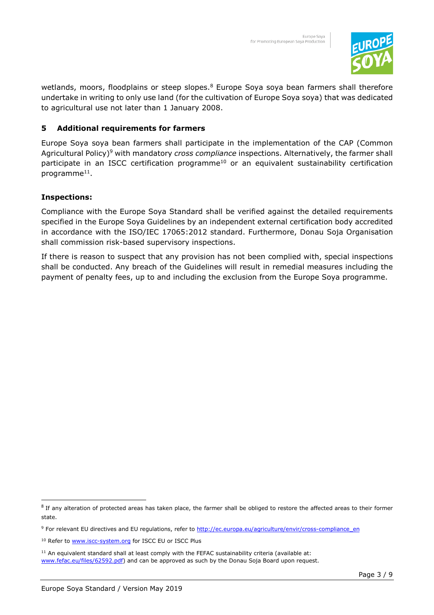

wetlands, moors, floodplains or steep slopes.<sup>8</sup> Europe Soya soya bean farmers shall therefore undertake in writing to only use land (for the cultivation of Europe Soya soya) that was dedicated to agricultural use not later than 1 January 2008.

#### **5 Additional requirements for farmers**

Europe Soya soya bean farmers shall participate in the implementation of the CAP (Common Agricultural Policy)<sup>9</sup> with mandatory *cross compliance* inspections. Alternatively, the farmer shall participate in an ISCC certification programme<sup>10</sup> or an equivalent sustainability certification programme<sup>11</sup>.

#### **Inspections:**

֦

Compliance with the Europe Soya Standard shall be verified against the detailed requirements specified in the Europe Soya Guidelines by an independent external certification body accredited in accordance with the ISO/IEC 17065:2012 standard. Furthermore, Donau Soja Organisation shall commission risk-based supervisory inspections.

If there is reason to suspect that any provision has not been complied with, special inspections shall be conducted. Any breach of the Guidelines will result in remedial measures including the payment of penalty fees, up to and including the exclusion from the Europe Soya programme.

 $^8$  If any alteration of protected areas has taken place, the farmer shall be obliged to restore the affected areas to their former state.

<sup>&</sup>lt;sup>9</sup> For relevant EU directives and EU regulations, refer to http://ec.europa.eu/agriculture/envir/cross-compliance\_en

<sup>&</sup>lt;sup>10</sup> Refer to www.iscc-system.org for ISCC EU or ISCC Plus

 $11$  An equivalent standard shall at least comply with the FEFAC sustainability criteria (available at: www.fefac.eu/files/62592.pdf) and can be approved as such by the Donau Soja Board upon request.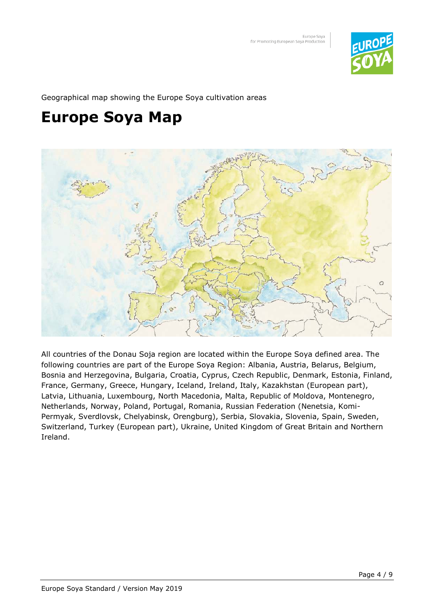

Geographical map showing the Europe Soya cultivation areas

## **Europe Soya Map**



All countries of the Donau Soja region are located within the Europe Soya defined area. The following countries are part of the Europe Soya Region: Albania, Austria, Belarus, Belgium, Bosnia and Herzegovina, Bulgaria, Croatia, Cyprus, Czech Republic, Denmark, Estonia, Finland, France, Germany, Greece, Hungary, Iceland, Ireland, Italy, Kazakhstan (European part), Latvia, Lithuania, Luxembourg, North Macedonia, Malta, Republic of Moldova, Montenegro, Netherlands, Norway, Poland, Portugal, Romania, Russian Federation (Nenetsia, Komi-Permyak, Sverdlovsk, Chelyabinsk, Orengburg), Serbia, Slovakia, Slovenia, Spain, Sweden, Switzerland, Turkey (European part), Ukraine, United Kingdom of Great Britain and Northern Ireland.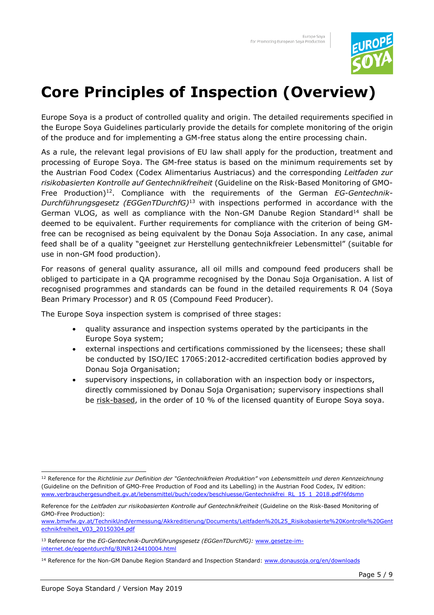

## **Core Principles of Inspection (Overview)**

Europe Soya is a product of controlled quality and origin. The detailed requirements specified in the Europe Soya Guidelines particularly provide the details for complete monitoring of the origin of the produce and for implementing a GM-free status along the entire processing chain.

As a rule, the relevant legal provisions of EU law shall apply for the production, treatment and processing of Europe Soya. The GM-free status is based on the minimum requirements set by the Austrian Food Codex (Codex Alimentarius Austriacus) and the corresponding *Leitfaden zur risikobasierten Kontrolle auf Gentechnikfreiheit* (Guideline on the Risk-Based Monitoring of GMO-Free Production)<sup>12</sup>. Compliance with the requirements of the German *EG-Gentechnik-Durchführungsgesetz (EGGenTDurchfG)*<sup>13</sup> with inspections performed in accordance with the German VLOG, as well as compliance with the Non-GM Danube Region Standard<sup>14</sup> shall be deemed to be equivalent. Further requirements for compliance with the criterion of being GMfree can be recognised as being equivalent by the Donau Soja Association. In any case, animal feed shall be of a quality "geeignet zur Herstellung gentechnikfreier Lebensmittel" (suitable for use in non-GM food production).

For reasons of general quality assurance, all oil mills and compound feed producers shall be obliged to participate in a QA programme recognised by the Donau Soja Organisation. A list of recognised programmes and standards can be found in the detailed requirements R 04 (Soya Bean Primary Processor) and R 05 (Compound Feed Producer).

The Europe Soya inspection system is comprised of three stages:

- quality assurance and inspection systems operated by the participants in the Europe Soya system;
- external inspections and certifications commissioned by the licensees; these shall be conducted by ISO/IEC 17065:2012-accredited certification bodies approved by Donau Soja Organisation;
- supervisory inspections, in collaboration with an inspection body or inspectors, directly commissioned by Donau Soja Organisation; supervisory inspections shall be risk-based, in the order of 10 % of the licensed quantity of Europe Soya soya.

 $\overline{a}$ 

<sup>12</sup> Reference for the *Richtlinie zur Definition der "Gentechnikfreien Produktion" von Lebensmitteln und deren Kennzeichnung* (Guideline on the Definition of GMO-Free Production of Food and its Labelling) in the Austrian Food Codex, IV edition: www.verbrauchergesundheit.gv.at/lebensmittel/buch/codex/beschluesse/Gentechnikfrei\_RL\_15\_1\_2018.pdf?6fdsmn

Reference for the *Leitfaden zur risikobasierten Kontrolle auf Gentechnikfreiheit* (Guideline on the Risk-Based Monitoring of GMO-Free Production):

www.bmwfw.gv.at/TechnikUndVermessung/Akkreditierung/Documents/Leitfaden%20L25\_Risikobasierte%20Kontrolle%20Gent echnikfreiheit\_V03\_20150304.pdf

<sup>13</sup> Reference for the *EG-Gentechnik-Durchführungsgesetz (EGGenTDurchfG):* www.gesetze-iminternet.de/eggentdurchfg/BJNR124410004.html

<sup>&</sup>lt;sup>14</sup> Reference for the Non-GM Danube Region Standard and Inspection Standard: www.donausoja.org/en/downloads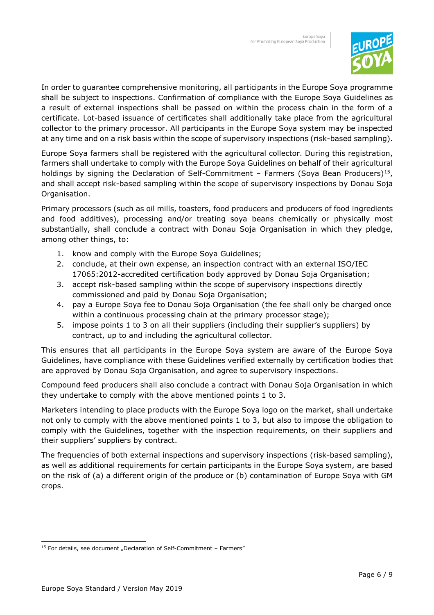

In order to guarantee comprehensive monitoring, all participants in the Europe Soya programme shall be subject to inspections. Confirmation of compliance with the Europe Soya Guidelines as a result of external inspections shall be passed on within the process chain in the form of a certificate. Lot-based issuance of certificates shall additionally take place from the agricultural collector to the primary processor. All participants in the Europe Soya system may be inspected at any time and on a risk basis within the scope of supervisory inspections (risk-based sampling).

Europe Soya farmers shall be registered with the agricultural collector. During this registration, farmers shall undertake to comply with the Europe Soya Guidelines on behalf of their agricultural holdings by signing the Declaration of Self-Commitment – Farmers (Soya Bean Producers)<sup>15</sup>, and shall accept risk-based sampling within the scope of supervisory inspections by Donau Soja Organisation.

Primary processors (such as oil mills, toasters, food producers and producers of food ingredients and food additives), processing and/or treating soya beans chemically or physically most substantially, shall conclude a contract with Donau Soja Organisation in which they pledge, among other things, to:

- 1. know and comply with the Europe Soya Guidelines;
- 2. conclude, at their own expense, an inspection contract with an external ISO/IEC 17065:2012-accredited certification body approved by Donau Soja Organisation;
- 3. accept risk-based sampling within the scope of supervisory inspections directly commissioned and paid by Donau Soja Organisation;
- 4. pay a Europe Soya fee to Donau Soja Organisation (the fee shall only be charged once within a continuous processing chain at the primary processor stage);
- 5. impose points 1 to 3 on all their suppliers (including their supplier's suppliers) by contract, up to and including the agricultural collector.

This ensures that all participants in the Europe Soya system are aware of the Europe Soya Guidelines, have compliance with these Guidelines verified externally by certification bodies that are approved by Donau Soja Organisation, and agree to supervisory inspections.

Compound feed producers shall also conclude a contract with Donau Soja Organisation in which they undertake to comply with the above mentioned points 1 to 3.

Marketers intending to place products with the Europe Soya logo on the market, shall undertake not only to comply with the above mentioned points 1 to 3, but also to impose the obligation to comply with the Guidelines, together with the inspection requirements, on their suppliers and their suppliers' suppliers by contract.

The frequencies of both external inspections and supervisory inspections (risk-based sampling), as well as additional requirements for certain participants in the Europe Soya system, are based on the risk of (a) a different origin of the produce or (b) contamination of Europe Soya with GM crops.

 $\overline{a}$ 

 $15$  For details, see document "Declaration of Self-Commitment – Farmers"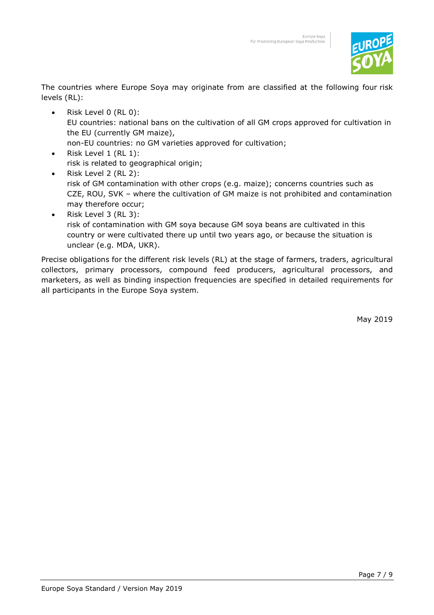

The countries where Europe Soya may originate from are classified at the following four risk levels (RL):

- Risk Level 0 (RL 0): EU countries: national bans on the cultivation of all GM crops approved for cultivation in the EU (currently GM maize), non-EU countries: no GM varieties approved for cultivation;
- Risk Level 1 (RL 1): risk is related to geographical origin;
- Risk Level 2 (RL 2): risk of GM contamination with other crops (e.g. maize); concerns countries such as CZE, ROU, SVK – where the cultivation of GM maize is not prohibited and contamination may therefore occur;
- Risk Level 3 (RL 3): risk of contamination with GM soya because GM soya beans are cultivated in this country or were cultivated there up until two years ago, or because the situation is unclear (e.g. MDA, UKR).

Precise obligations for the different risk levels (RL) at the stage of farmers, traders, agricultural collectors, primary processors, compound feed producers, agricultural processors, and marketers, as well as binding inspection frequencies are specified in detailed requirements for all participants in the Europe Soya system.

May 2019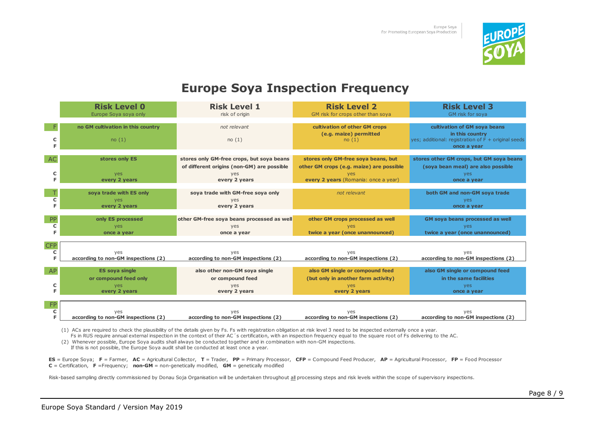

### **Europe Soya Inspection Frequency**

|                       | <b>Risk Level 0</b><br>Europe Soya soya only  | <b>Risk Level 1</b><br>risk of origin                                                   | <b>Risk Level 2</b><br>GM risk for crops other than soya                        | <b>Risk Level 3</b><br>GM risk for soya                                          |
|-----------------------|-----------------------------------------------|-----------------------------------------------------------------------------------------|---------------------------------------------------------------------------------|----------------------------------------------------------------------------------|
|                       | no GM cultivation in this country             | not relevant                                                                            | cultivation of other GM crops<br>(e.g. maize) permitted                         | cultivation of GM soya beans<br>in this country                                  |
| c<br>F.               | no(1)                                         | no(1)                                                                                   | no(1)                                                                           | yes; additional: registration of F + original seeds<br>once a year               |
| <b>AC</b>             | stores only ES                                | stores only GM-free crops, but soya beans<br>of different origins (non-GM) are possible | stores only GM-free soya beans, but<br>other GM crops (e.g. maize) are possible | stores other GM crops, but GM soya beans<br>(soya bean meal) are also possible   |
| c<br>F.               | yes<br>every 2 years                          | yes<br>every 2 years                                                                    | yes<br>every 2 years (Romania: once a year)                                     | yes<br>once a year                                                               |
| c                     | soya trade with ES only<br>yes                | soya trade with GM-free soya only<br>yes                                                | not relevant                                                                    | both GM and non-GM soya trade<br>yes                                             |
| Е                     | every 2 years                                 | every 2 years                                                                           |                                                                                 | once a year                                                                      |
| PP<br>c<br>F          | only ES processed<br>yes<br>once a year       | other GM-free soya beans processed as well<br>yes<br>once a year                        | other GM crops processed as well<br>yes<br>twice a year (once unannounced)      | <b>GM soya beans processed as well</b><br>yes<br>twice a year (once unannounced) |
| <b>CFP</b><br>c<br>F. | yes<br>according to non-GM inspections (2)    | yes<br>according to non-GM inspections (2)                                              | yes<br>according to non-GM inspections (2)                                      | yes<br>according to non-GM inspections (2)                                       |
| <b>AP</b>             | <b>ES soya single</b>                         | also other non-GM soya single                                                           | also GM single or compound feed                                                 | also GM single or compound feed                                                  |
| c<br>F                | or compound feed only<br>yes<br>every 2 years | or compound feed<br>yes<br>every 2 years                                                | (but only in another farm activity)<br>yes<br>every 2 years                     | in the same facilities<br>yes<br>once a year                                     |
| FP<br>c               | ves                                           | ves                                                                                     | ves                                                                             | ves                                                                              |
| F.                    | according to non-GM inspections (2)           | according to non-GM inspections (2)                                                     | according to non-GM inspections (2)                                             | according to non-GM inspections (2)                                              |

(1) ACs are required to check the plausibility of the details given by Fs. Fs with registration obligation at risk level 3 need to be inspected externally once a year.

Fs in RUS require annual external inspection in the context of their AC´s certification, with an inspection frequency equal to the square root of Fs delivering to the AC.

(2) Whenever possible, Europe Soya audits shall always be conducted together and in combination with non-GM inspections.

If this is not possible, the Europe Soya audit shall be conducted at least once a year.

ES = Europe Soya; F = Farmer, AC = Agricultural Collector, T = Trader, PP = Primary Processor, CFP = Compound Feed Producer, AP = Agricultural Processor, FP = Food Processor  $C$  = Certification,  $F$  =Frequency; **non-GM** = non-genetically modified, **GM** = genetically modified

Risk-based sampling directly commissioned by Donau Soja Organisation will be undertaken throughout all processing steps and risk levels within the scope of supervisory inspections.